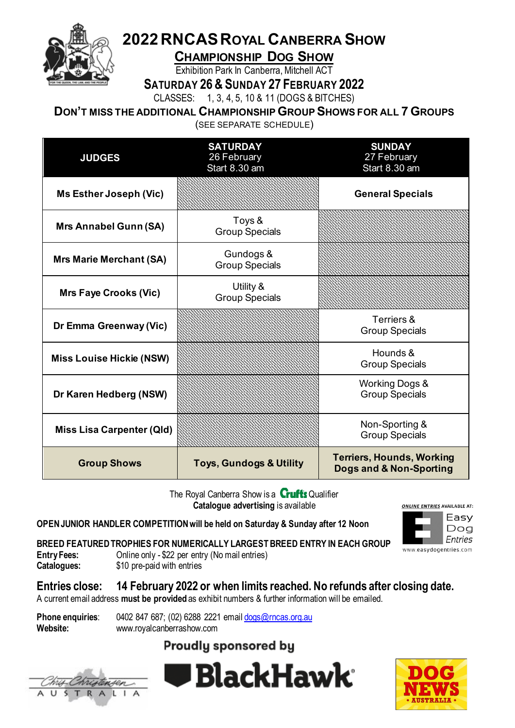

# **2022RNCASROYAL CANBERRA SHOW**

**CHAMPIONSHIP DOG SHOW**

Exhibition Park In Canberra, Mitchell ACT

**SATURDAY 26& SUNDAY 27 FEBRUARY 2022** 

CLASSES: 1, 3, 4, 5, 10 & 11 (DOGS & BITCHES)

**DON'T MISS THE ADDITIONAL CHAMPIONSHIP GROUP SHOWS FOR ALL 7 GROUPS**

(SEE SEPARATE SCHEDULE)

| <b>JUDGES</b>                    | <b>SATURDAY</b><br>26 February<br>Start 8.30 am | <b>SUNDAY</b><br>27 February<br>Start 8.30 am               |
|----------------------------------|-------------------------------------------------|-------------------------------------------------------------|
| <b>Ms Esther Joseph (Vic)</b>    |                                                 | <b>General Specials</b>                                     |
| <b>Mrs Annabel Gunn (SA)</b>     | Toys &<br><b>Group Specials</b>                 |                                                             |
| <b>Mrs Marie Merchant (SA)</b>   | Gundogs &<br><b>Group Specials</b>              |                                                             |
| <b>Mrs Faye Crooks (Vic)</b>     | Utility &<br><b>Group Specials</b>              |                                                             |
| Dr Emma Greenway (Vic)           |                                                 | Terriers &<br><b>Group Specials</b>                         |
| <b>Miss Louise Hickie (NSW)</b>  |                                                 | Hounds &<br><b>Group Specials</b>                           |
| Dr Karen Hedberg (NSW)           |                                                 | <b>Working Dogs &amp;</b><br><b>Group Specials</b>          |
| <b>Miss Lisa Carpenter (Qld)</b> |                                                 | Non-Sporting &<br><b>Group Specials</b>                     |
| <b>Group Shows</b>               | <b>Toys, Gundogs &amp; Utility</b>              | <b>Terriers, Hounds, Working</b><br>Dogs and & Non-Sporting |

The Royal Canberra Show is a **Crufts** Qualifier **Catalogue advertising** is available

**OPEN JUNIOR HANDLER COMPETITION will be held on Saturday & Sunday after 12 Noon**



**BREED FEATURED TROPHIES FOR NUMERICALLY LARGEST BREED ENTRY IN EACH GROUP**<br>Entry Fees: 0nline only - \$22 per entry (No mail entries)

- **Entry Fees:** Online only \$22 per entry (No mail entries)<br>**Catalogues:** \$10 pre-paid with entries
- \$10 pre-paid with entries

**Entries close: 14 February 2022 or when limits reached. No refunds after closing date.**

A current email address **must be provided** as exhibit numbers & further information will be emailed.

| <b>Phone enquiries:</b> | 0402 847 687; (02) 6288 2221 email dogs@rncas.org.au |
|-------------------------|------------------------------------------------------|
| Website:                | www.royalcanberrashow.com                            |

## **Proudly sponsored by**